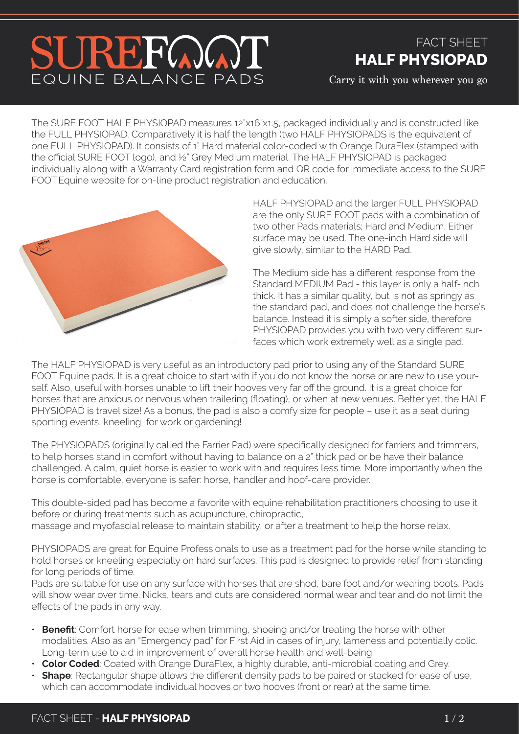## SUREFOOT EQUINE BALANCE PADS

## FACT SHEET **HALF PHYSIOPAD**

Carry it with you wherever you go

The SURE FOOT HALF PHYSIOPAD measures 12"x16"x1.5, packaged individually and is constructed like the FULL PHYSIOPAD. Comparatively it is half the length (two HALF PHYSIOPADS is the equivalent of one FULL PHYSIOPAD). It consists of 1" Hard material color-coded with Orange DuraFlex (stamped with the official SURE FOOT logo), and ½" Grey Medium material. The HALF PHYSIOPAD is packaged individually along with a Warranty Card registration form and QR code for immediate access to the SURE FOOTEquine website for on-line product registration and education.



HALF PHYSIOPAD and the larger FULL PHYSIOPAD are the only SURE FOOT pads with a combination of two other Pads materials; Hard and Medium. Either surface may be used. The one-inch Hard side will give slowly, similar to the HARD Pad.

The Medium side has a different response from the Standard MEDIUM Pad - this layer is only a half-inch thick. It has a similar quality, but is not as springy as the standard pad, and does not challenge the horse's balance. Instead it is simply a softer side, therefore PHYSIOPAD provides you with two very different surfaces which work extremely well as a single pad.

The HALF PHYSIOPAD is very useful as an introductory pad prior to using any of the Standard SURE FOOT Equine pads. It is a great choice to start with if you do not know the horse or are new to use yourself. Also, useful with horses unable to lift their hooves very far off the ground. It is a great choice for horses that are anxious or nervous when trailering (floating), or when at new venues. Better yet, the HALF PHYSIOPAD is travel size! As a bonus, the pad is also a comfy size for people – use it as a seat during sporting events, kneeling for work or gardening!

The PHYSIOPADS (originally called the Farrier Pad) were specifically designed for farriers and trimmers, to help horses stand in comfort without having to balance on a 2" thick pad or be have their balance challenged. A calm, quiet horse is easier to work with and requires less time. More importantly when the horse is comfortable, everyone is safer: horse, handler and hoof-care provider.

This double-sided pad has become a favorite with equine rehabilitation practitioners choosing to use it before or during treatments such as acupuncture, chiropractic, massage and myofascial release to maintain stability, or after a treatment to help the horse relax.

PHYSIOPADS are great for Equine Professionals to use as a treatment pad for the horse while standing to hold horses or kneeling especially on hard surfaces. This pad is designed to provide relief from standing for long periods of time.

Pads are suitable for use on any surface with horses that are shod, bare foot and/or wearing boots. Pads will show wear over time. Nicks, tears and cuts are considered normal wear and tear and do not limit the effects of the pads in any way.

- **Benefit**: Comfort horse for ease when trimming, shoeing and/or treating the horse with other modalities. Also as an "Emergency pad" for First Aid in cases of injury, lameness and potentially colic. Long-term use to aid in improvement of overall horse health and well-being.
- **Color Coded**: Coated with Orange DuraFlex, a highly durable, anti-microbial coating and Grey.
- **Shape**: Rectangular shape allows the different density pads to be paired or stacked for ease of use, which can accommodate individual hooves or two hooves (front or rear) at the same time.